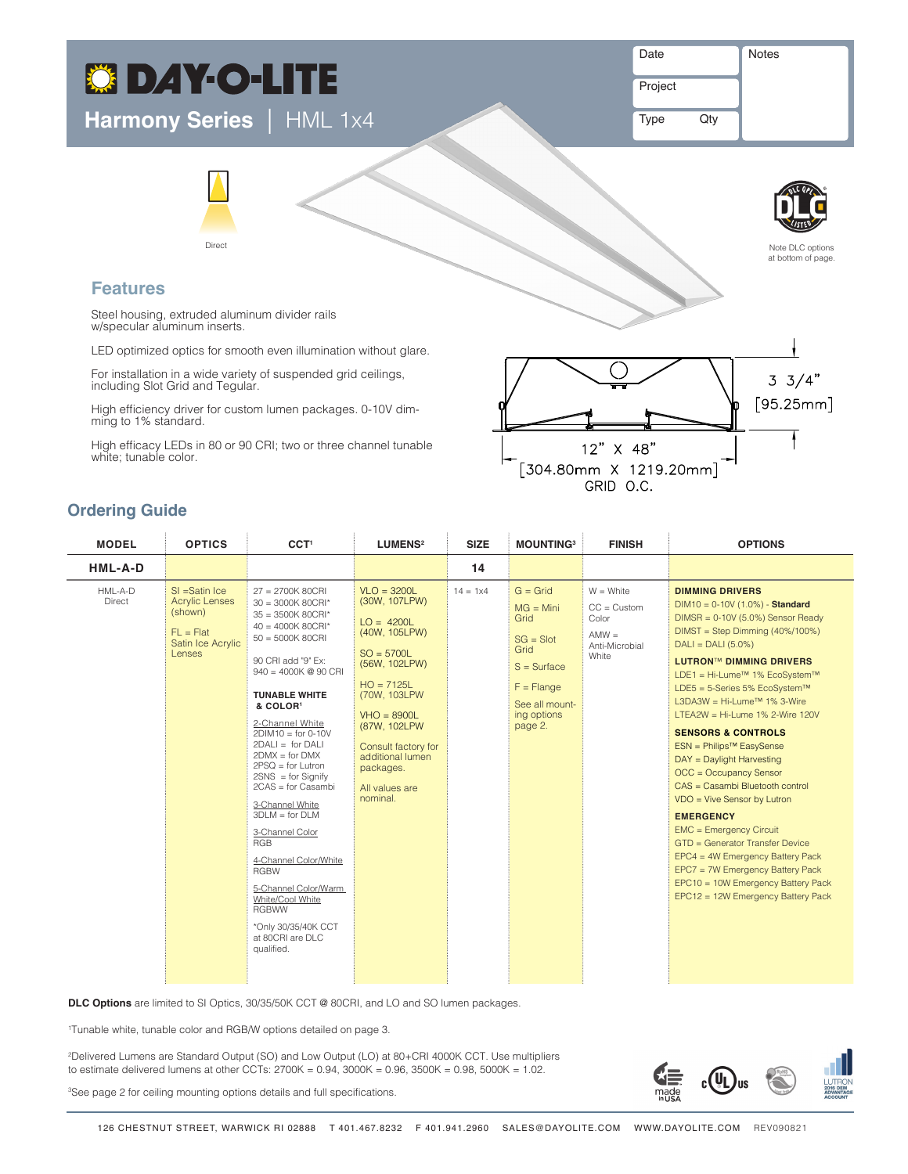# **C DAY-O-LITE**

**Harmony Series** | HML 1x4

Date **Notes** 

Project

Type Qty



## **Features**

Steel housing, extruded aluminum divider rails w/specular aluminum inserts.

Direct

LED optimized optics for smooth even illumination without glare.

For installation in a wide variety of suspended grid ceilings, including Slot Grid and Tegular.

High efficiency driver for custom lumen packages. 0-10V dim- ming to 1% standard.

High efficacy LEDs in 80 or 90 CRI; two or three channel tunable white; tunable color.



Indirect Asymmetric / In Indirect Asymmetric / Out

# **Ordering Guide**

| <b>MODEL</b>      | <b>OPTICS</b>                                                                                      | CCT <sup>1</sup>                                                                                                                                                                                                                                                                                                                                                                                                                                                                                                                                                                                                   | LUMENS <sup>2</sup>                                                                                                                                                                                                                                       | <b>SIZE</b>       | <b>MOUNTING3</b>                                                                                                                             | <b>FINISH</b>                                                                 | <b>OPTIONS</b>                                                                                                                                                                                                                                                                                                                                                                                                                                                                                                                                                                                                                                                                                                                                                                                                 |
|-------------------|----------------------------------------------------------------------------------------------------|--------------------------------------------------------------------------------------------------------------------------------------------------------------------------------------------------------------------------------------------------------------------------------------------------------------------------------------------------------------------------------------------------------------------------------------------------------------------------------------------------------------------------------------------------------------------------------------------------------------------|-----------------------------------------------------------------------------------------------------------------------------------------------------------------------------------------------------------------------------------------------------------|-------------------|----------------------------------------------------------------------------------------------------------------------------------------------|-------------------------------------------------------------------------------|----------------------------------------------------------------------------------------------------------------------------------------------------------------------------------------------------------------------------------------------------------------------------------------------------------------------------------------------------------------------------------------------------------------------------------------------------------------------------------------------------------------------------------------------------------------------------------------------------------------------------------------------------------------------------------------------------------------------------------------------------------------------------------------------------------------|
| HML-A-D           |                                                                                                    |                                                                                                                                                                                                                                                                                                                                                                                                                                                                                                                                                                                                                    |                                                                                                                                                                                                                                                           | 14                |                                                                                                                                              |                                                                               |                                                                                                                                                                                                                                                                                                                                                                                                                                                                                                                                                                                                                                                                                                                                                                                                                |
| HML-A-D<br>Direct | $SI = Satin$ Ice<br><b>Acrylic Lenses</b><br>(shown)<br>$FL = Flat$<br>Satin Ice Acrylic<br>Lenses | $27 = 2700K 80CRI$<br>$30 = 3000K 80CRI^*$<br>$35 = 3500K 80CRI*$<br>$40 = 4000K 80CRI*$<br>$50 = 5000K 80CRI$<br>90 CRI add "9" Ex:<br>$940 = 4000K$ @ 90 CRI<br><b>TUNABLE WHITE</b><br>& COLOR <sup>1</sup><br>2-Channel White<br>$2DIM10 = for 0-10V$<br>$2DALI = for DALI$<br>$2$ DMX = for DMX<br>$2PSQ = for Lutron$<br>$2SNS = for Signify$<br>$2CAS = for Casambi$<br>3-Channel White<br>$3DI M = for DI M$<br>3-Channel Color<br><b>RGB</b><br>4-Channel Color/White<br><b>RGBW</b><br>5-Channel Color/Warm<br>White/Cool White<br><b>RGBWW</b><br>*Only 30/35/40K CCT<br>at 80CRI are DLC<br>qualified. | $VLO = 3200L$<br>(30W, 107LPW)<br>$LO = 4200L$<br>(40W, 105LPW)<br>$SO = 5700L$<br>(56W, 102LPW)<br>$HO = 7125L$<br>(70W, 103LPW)<br>$VHO = 8900L$<br>(87W, 102LPW)<br>Consult factory for<br>additional lumen<br>packages.<br>All values are<br>nominal. | $14 = 1 \times 4$ | $G =$ Grid<br>$MG = Mini$<br>Grid<br>$SG = Slot$<br>Grid<br>$S = Surface$<br>$F = \text{Flange}$<br>See all mount-<br>ing options<br>page 2. | $W = White$<br>$CC = Customer$<br>Color<br>$AMW =$<br>Anti-Microbial<br>White | <b>DIMMING DRIVERS</b><br>$DIM10 = 0-10V(1.0%) - Standard$<br>$DIMSR = 0-10V (5.0%)$ Sensor Ready<br>$DIMST = Step Dimming (40%/100%)$<br>$DALI = DALI (5.0%)$<br><b>LUTRON™ DIMMING DRIVERS</b><br>LDE1 = Hi-Lume <sup>™</sup> 1% EcoSystem™<br>LDE5 = 5-Series 5% EcoSystem™<br>L3DA3W = Hi-Lume <sup>™</sup> 1% 3-Wire<br>LTEA2W = Hi-Lume $1\%$ 2-Wire 120V<br><b>SENSORS &amp; CONTROLS</b><br>ESN = Philips <sup>™</sup> EasySense<br>DAY = Daylight Harvesting<br>OCC = Occupancy Sensor<br>CAS = Casambi Bluetooth control<br>VDO = Vive Sensor by Lutron<br><b>EMERGENCY</b><br><b>EMC = Emergency Circuit</b><br>GTD = Generator Transfer Device<br>EPC4 = 4W Emergency Battery Pack<br>EPC7 = 7W Emergency Battery Pack<br>EPC10 = 10W Emergency Battery Pack<br>EPC12 = 12W Emergency Battery Pack |

**DLC Options** are limited to SI Optics, 30/35/50K CCT @ 80CRI, and LO and SO lumen packages.

1 Tunable white, tunable color and RGB/W options detailed on page 3.

2 Delivered Lumens are Standard Output (SO) and Low Output (LO) at 80+CRI 4000K CCT. Use multipliers to estimate delivered lumens at other CCTs: 2700K = 0.94, 3000K = 0.96, 3500K = 0.98, 5000K = 1.02.

3 See page 2 for ceiling mounting options details and full specifications.

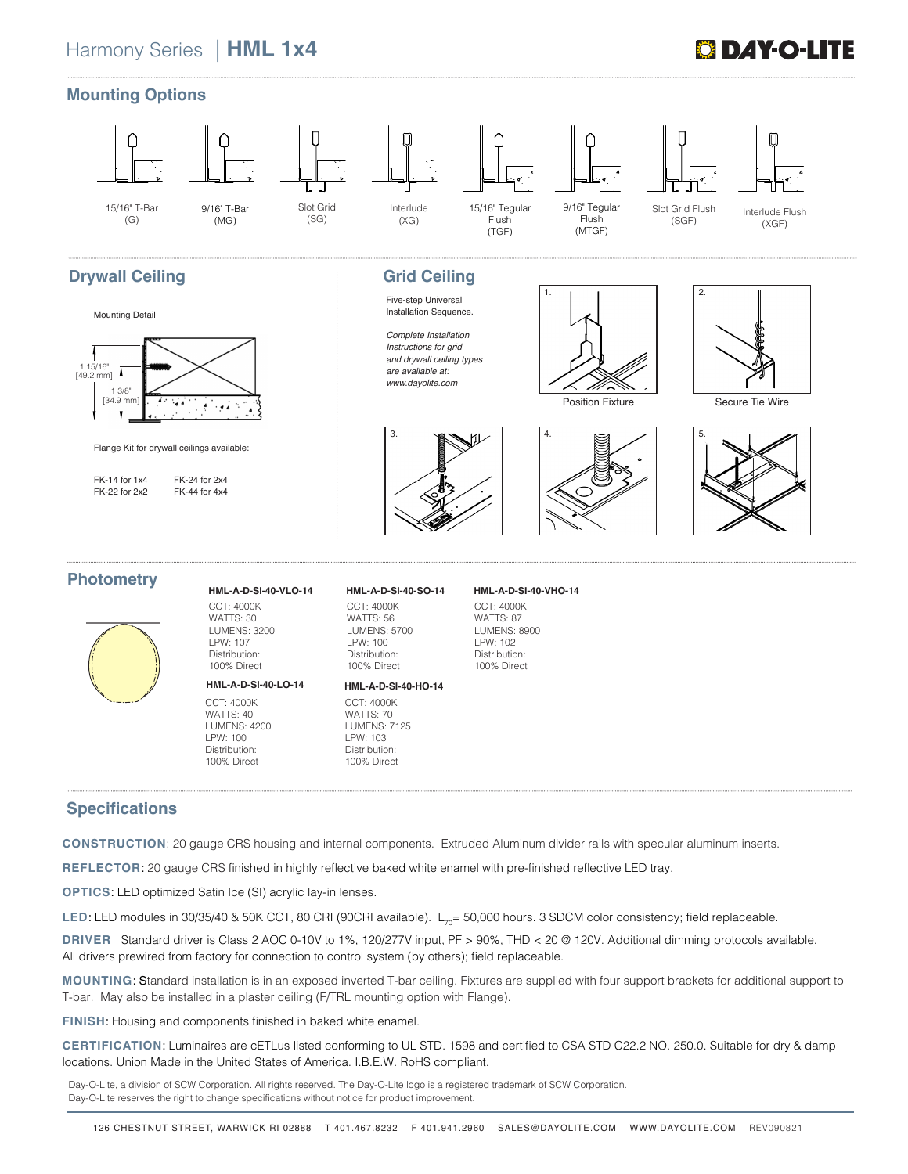# **ÖDAY-O-LI**



### **Specifications**

**CONSTRUCTION**: 20 gauge CRS housing and internal components. Extruded Aluminum divider rails with specular aluminum inserts.

**REFLECTOR**: 20 gauge CRS finished in highly reflective baked white enamel with pre-finished reflective LED tray.

**OPTICS**: LED optimized Satin Ice (SI) acrylic lay-in lenses.

LED: LED modules in 30/35/40 & 50K CCT, 80 CRI (90CRI available). L<sub>70</sub>= 50,000 hours. 3 SDCM color consistency; field replaceable.

**DRIVER** Standard driver is Class 2 AOC 0-10V to 1%, 120/277V input, PF > 90%, THD < 20 @ 120V. Additional dimming protocols available. All drivers prewired from factory for connection to control system (by others); field replaceable.

**MOUNTING**: Standard installation is in an exposed inverted T-bar ceiling. Fixtures are supplied with four support brackets for additional support to T-bar. May also be installed in a plaster ceiling (F/TRL mounting option with Flange).

**FINISH**: Housing and components finished in baked white enamel.

**CERTIFICATION**: Luminaires are cETLus listed conforming to UL STD. 1598 and certified to CSA STD C22.2 NO. 250.0. Suitable for dry & damp locations. Union Made in the United States of America. I.B.E.W. RoHS compliant.

Day-O-Lite, a division of SCW Corporation. All rights reserved. The Day-O-Lite logo is a registered trademark of SCW Corporation. Day-O-Lite reserves the right to change specifications without notice for product improvement.